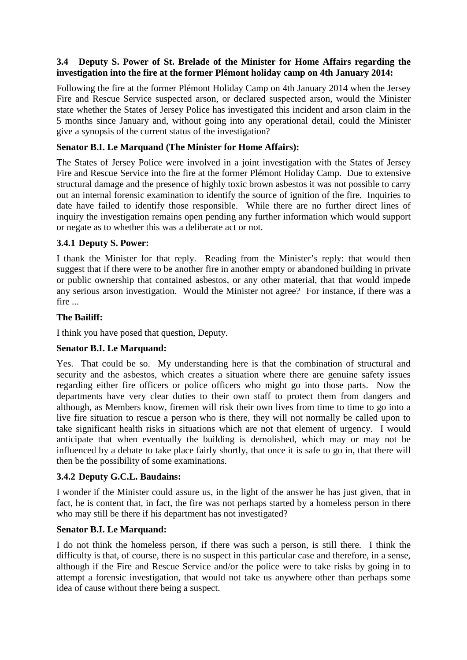# **3.4 Deputy S. Power of St. Brelade of the Minister for Home Affairs regarding the investigation into the fire at the former Plémont holiday camp on 4th January 2014:**

Following the fire at the former Plémont Holiday Camp on 4th January 2014 when the Jersey Fire and Rescue Service suspected arson, or declared suspected arson, would the Minister state whether the States of Jersey Police has investigated this incident and arson claim in the 5 months since January and, without going into any operational detail, could the Minister give a synopsis of the current status of the investigation?

# **Senator B.I. Le Marquand (The Minister for Home Affairs):**

The States of Jersey Police were involved in a joint investigation with the States of Jersey Fire and Rescue Service into the fire at the former Plémont Holiday Camp. Due to extensive structural damage and the presence of highly toxic brown asbestos it was not possible to carry out an internal forensic examination to identify the source of ignition of the fire. Inquiries to date have failed to identify those responsible. While there are no further direct lines of inquiry the investigation remains open pending any further information which would support or negate as to whether this was a deliberate act or not.

## **3.4.1 Deputy S. Power:**

I thank the Minister for that reply. Reading from the Minister's reply: that would then suggest that if there were to be another fire in another empty or abandoned building in private or public ownership that contained asbestos, or any other material, that that would impede any serious arson investigation. Would the Minister not agree? For instance, if there was a fire ...

## **The Bailiff:**

I think you have posed that question, Deputy.

# **Senator B.I. Le Marquand:**

Yes. That could be so. My understanding here is that the combination of structural and security and the asbestos, which creates a situation where there are genuine safety issues regarding either fire officers or police officers who might go into those parts. Now the departments have very clear duties to their own staff to protect them from dangers and although, as Members know, firemen will risk their own lives from time to time to go into a live fire situation to rescue a person who is there, they will not normally be called upon to take significant health risks in situations which are not that element of urgency. I would anticipate that when eventually the building is demolished, which may or may not be influenced by a debate to take place fairly shortly, that once it is safe to go in, that there will then be the possibility of some examinations.

### **3.4.2 Deputy G.C.L. Baudains:**

I wonder if the Minister could assure us, in the light of the answer he has just given, that in fact, he is content that, in fact, the fire was not perhaps started by a homeless person in there who may still be there if his department has not investigated?

### **Senator B.I. Le Marquand:**

I do not think the homeless person, if there was such a person, is still there. I think the difficulty is that, of course, there is no suspect in this particular case and therefore, in a sense, although if the Fire and Rescue Service and/or the police were to take risks by going in to attempt a forensic investigation, that would not take us anywhere other than perhaps some idea of cause without there being a suspect.